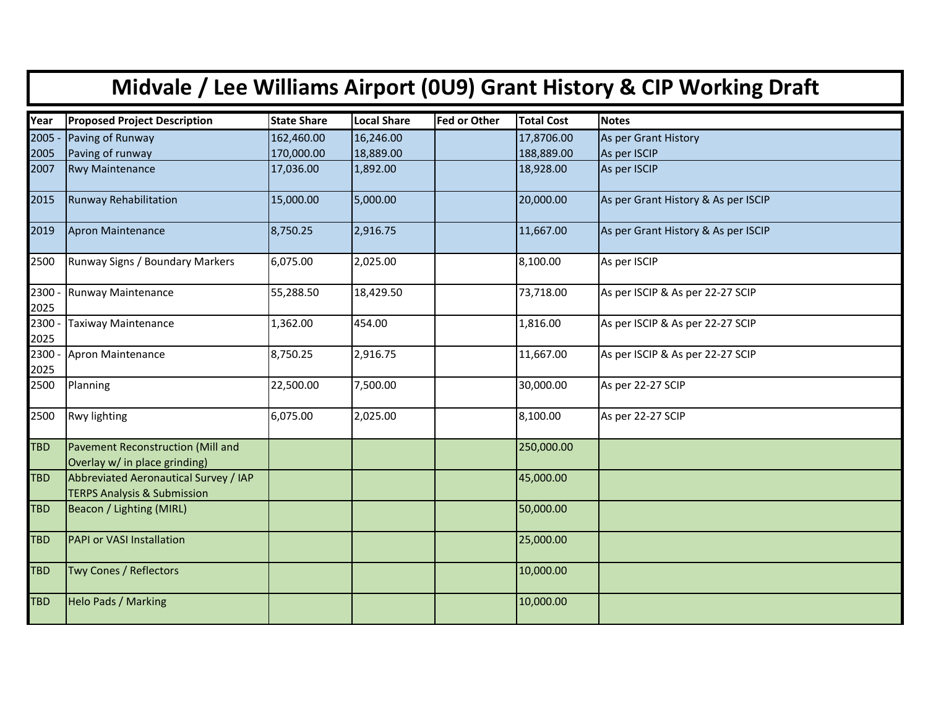| Midvale / Lee Williams Airport (0U9) Grant History & CIP Working Draft |                                                                                 |                    |                    |                     |                   |                                     |  |  |  |
|------------------------------------------------------------------------|---------------------------------------------------------------------------------|--------------------|--------------------|---------------------|-------------------|-------------------------------------|--|--|--|
| Year                                                                   | <b>Proposed Project Description</b>                                             | <b>State Share</b> | <b>Local Share</b> | <b>Fed or Other</b> | <b>Total Cost</b> | <b>Notes</b>                        |  |  |  |
| 2005                                                                   | Paving of Runway                                                                | 162,460.00         | 16,246.00          |                     | 17,8706.00        | As per Grant History                |  |  |  |
| 2005                                                                   | Paving of runway                                                                | 170,000.00         | 18,889.00          |                     | 188,889.00        | As per ISCIP                        |  |  |  |
| 2007                                                                   | <b>Rwy Maintenance</b>                                                          | 17,036.00          | 1,892.00           |                     | 18,928.00         | As per ISCIP                        |  |  |  |
| 2015                                                                   | Runway Rehabilitation                                                           | 15,000.00          | 5,000.00           |                     | 20,000.00         | As per Grant History & As per ISCIP |  |  |  |
| 2019                                                                   | Apron Maintenance                                                               | 8,750.25           | 2,916.75           |                     | 11,667.00         | As per Grant History & As per ISCIP |  |  |  |
| 2500                                                                   | Runway Signs / Boundary Markers                                                 | 6,075.00           | 2,025.00           |                     | 8,100.00          | As per ISCIP                        |  |  |  |
| 2300<br>2025                                                           | Runway Maintenance                                                              | 55,288.50          | 18,429.50          |                     | 73,718.00         | As per ISCIP & As per 22-27 SCIP    |  |  |  |
| 2300<br>2025                                                           | Taxiway Maintenance                                                             | 1,362.00           | 454.00             |                     | 1,816.00          | As per ISCIP & As per 22-27 SCIP    |  |  |  |
| 2300<br>2025                                                           | Apron Maintenance                                                               | 8,750.25           | 2,916.75           |                     | 11,667.00         | As per ISCIP & As per 22-27 SCIP    |  |  |  |
| 2500                                                                   | Planning                                                                        | 22,500.00          | 7,500.00           |                     | 30,000.00         | As per 22-27 SCIP                   |  |  |  |
| 2500                                                                   | Rwy lighting                                                                    | 6,075.00           | 2,025.00           |                     | 8,100.00          | As per 22-27 SCIP                   |  |  |  |
| <b>TBD</b>                                                             | Pavement Reconstruction (Mill and<br>Overlay w/ in place grinding)              |                    |                    |                     | 250,000.00        |                                     |  |  |  |
| <b>TBD</b>                                                             | Abbreviated Aeronautical Survey / IAP<br><b>TERPS Analysis &amp; Submission</b> |                    |                    |                     | 45,000.00         |                                     |  |  |  |
| <b>TBD</b>                                                             | Beacon / Lighting (MIRL)                                                        |                    |                    |                     | 50,000.00         |                                     |  |  |  |
| <b>TBD</b>                                                             | <b>PAPI or VASI Installation</b>                                                |                    |                    |                     | 25,000.00         |                                     |  |  |  |
| <b>TBD</b>                                                             | Twy Cones / Reflectors                                                          |                    |                    |                     | 10,000.00         |                                     |  |  |  |
| <b>TBD</b>                                                             | <b>Helo Pads / Marking</b>                                                      |                    |                    |                     | 10,000.00         |                                     |  |  |  |